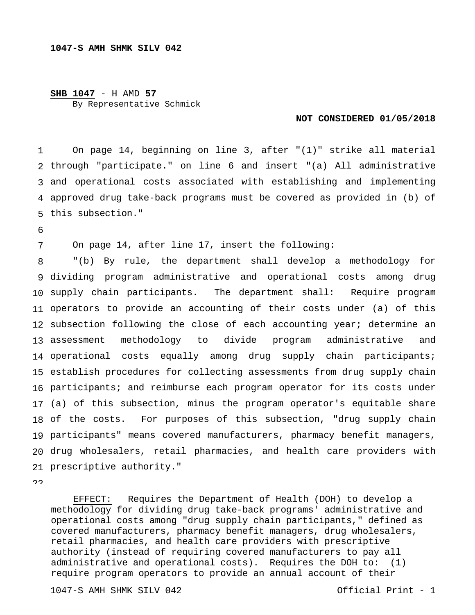## **SHB 1047** - H AMD **57** By Representative Schmick

## **NOT CONSIDERED 01/05/2018**

1 through "participate." on line 6 and insert "(a) All administrative and operational costs associated with establishing and implementing approved drug take-back programs must be covered as provided in (b) of this subsection." On page 14, beginning on line 3, after "(1)" strike all material

6

7 On page 14, after line 17, insert the following:

8 dividing program administrative and operational costs among drug supply chain participants. The department shall: Require program operators to provide an accounting of their costs under (a) of this subsection following the close of each accounting year; determine an 13 assessment operational costs equally among drug supply chain participants; establish procedures for collecting assessments from drug supply chain participants; and reimburse each program operator for its costs under (a) of this subsection, minus the program operator's equitable share 18 of the costs. participants" means covered manufacturers, pharmacy benefit managers, drug wholesalers, retail pharmacies, and health care providers with prescriptive authority." "(b) By rule, the department shall develop a methodology for methodology to divide program administrative and For purposes of this subsection, "drug supply chain

 $\Omega$ 

 EFFECT: Requires the Department of Health (DOH) to develop a methodology for dividing drug take-back programs' administrative and operational costs among "drug supply chain participants," defined as covered manufacturers, pharmacy benefit managers, drug wholesalers, retail pharmacies, and health care providers with prescriptive authority (instead of requiring covered manufacturers to pay all administrative and operational costs). Requires the DOH to: (1) require program operators to provide an annual account of their

1047-S AMH SHMK SILV 042 Official Print - 1